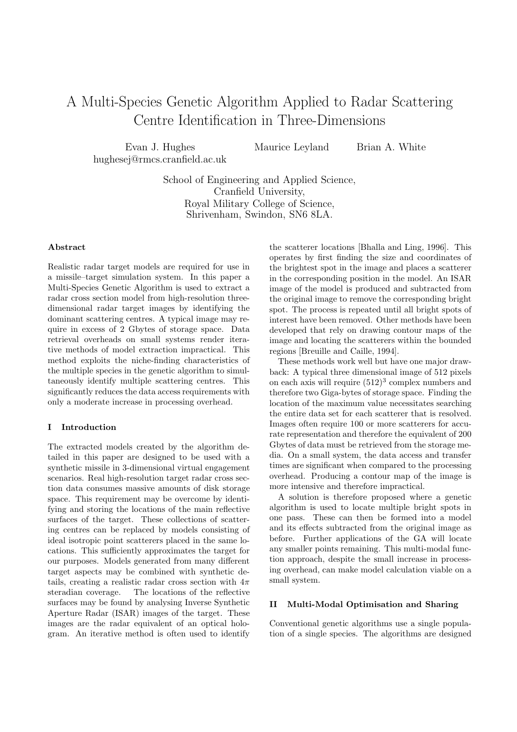# A Multi-Species Genetic Algorithm Applied to Radar Scattering Centre Identification in Three-Dimensions

Evan J. Hughes hughesej@rmcs.cranfield.ac.uk Maurice Leyland Brian A. White

School of Engineering and Applied Science, Cranfield University, Royal Military College of Science, Shrivenham, Swindon, SN6 8LA.

# Abstract

Realistic radar target models are required for use in a missile–target simulation system. In this paper a Multi-Species Genetic Algorithm is used to extract a radar cross section model from high-resolution threedimensional radar target images by identifying the dominant scattering centres. A typical image may require in excess of 2 Gbytes of storage space. Data retrieval overheads on small systems render iterative methods of model extraction impractical. This method exploits the niche-finding characteristics of the multiple species in the genetic algorithm to simultaneously identify multiple scattering centres. This significantly reduces the data access requirements with only a moderate increase in processing overhead.

# I Introduction

The extracted models created by the algorithm detailed in this paper are designed to be used with a synthetic missile in 3-dimensional virtual engagement scenarios. Real high-resolution target radar cross section data consumes massive amounts of disk storage space. This requirement may be overcome by identifying and storing the locations of the main reflective surfaces of the target. These collections of scattering centres can be replaced by models consisting of ideal isotropic point scatterers placed in the same locations. This sufficiently approximates the target for our purposes. Models generated from many different target aspects may be combined with synthetic details, creating a realistic radar cross section with  $4\pi$ steradian coverage. The locations of the reflective surfaces may be found by analysing Inverse Synthetic Aperture Radar (ISAR) images of the target. These images are the radar equivalent of an optical hologram. An iterative method is often used to identify

the scatterer locations [Bhalla and Ling, 1996]. This operates by first finding the size and coordinates of the brightest spot in the image and places a scatterer in the corresponding position in the model. An ISAR image of the model is produced and subtracted from the original image to remove the corresponding bright spot. The process is repeated until all bright spots of interest have been removed. Other methods have been developed that rely on drawing contour maps of the image and locating the scatterers within the bounded regions [Breuille and Caille, 1994].

These methods work well but have one major drawback: A typical three dimensional image of 512 pixels on each axis will require  $(512)^3$  complex numbers and therefore two Giga-bytes of storage space. Finding the location of the maximum value necessitates searching the entire data set for each scatterer that is resolved. Images often require 100 or more scatterers for accurate representation and therefore the equivalent of 200 Gbytes of data must be retrieved from the storage media. On a small system, the data access and transfer times are significant when compared to the processing overhead. Producing a contour map of the image is more intensive and therefore impractical.

A solution is therefore proposed where a genetic algorithm is used to locate multiple bright spots in one pass. These can then be formed into a model and its effects subtracted from the original image as before. Further applications of the GA will locate any smaller points remaining. This multi-modal function approach, despite the small increase in processing overhead, can make model calculation viable on a small system.

# II Multi-Modal Optimisation and Sharing

Conventional genetic algorithms use a single population of a single species. The algorithms are designed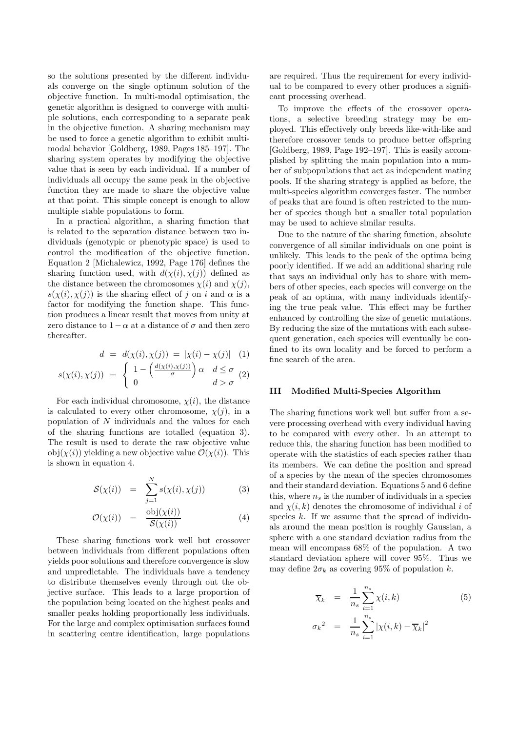so the solutions presented by the different individuals converge on the single optimum solution of the objective function. In multi-modal optimisation, the genetic algorithm is designed to converge with multiple solutions, each corresponding to a separate peak in the objective function. A sharing mechanism may be used to force a genetic algorithm to exhibit multimodal behavior [Goldberg, 1989, Pages 185–197]. The sharing system operates by modifying the objective value that is seen by each individual. If a number of individuals all occupy the same peak in the objective function they are made to share the objective value at that point. This simple concept is enough to allow multiple stable populations to form.

In a practical algorithm, a sharing function that is related to the separation distance between two individuals (genotypic or phenotypic space) is used to control the modification of the objective function. Equation 2 [Michalewicz, 1992, Page 176] defines the sharing function used, with  $d(\chi(i), \chi(j))$  defined as the distance between the chromosomes  $\chi(i)$  and  $\chi(j)$ ,  $s(\chi(i), \chi(i))$  is the sharing effect of j on i and  $\alpha$  is a factor for modifying the function shape. This function produces a linear result that moves from unity at zero distance to  $1-\alpha$  at a distance of  $\sigma$  and then zero thereafter.

$$
d = d(\chi(i), \chi(j)) = |\chi(i) - \chi(j)| \quad (1)
$$

$$
s(\chi(i), \chi(j)) = \begin{cases} 1 - \left(\frac{d(\chi(i), \chi(j))}{\sigma}\right) \alpha & d \le \sigma \\ 0 & d > \sigma \end{cases}
$$
 (2)

For each individual chromosome,  $\chi(i)$ , the distance is calculated to every other chromosome,  $\chi(j)$ , in a population of  $N$  individuals and the values for each of the sharing functions are totalled (equation 3). The result is used to derate the raw objective value obj $(\chi(i))$  yielding a new objective value  $\mathcal{O}(\chi(i))$ . This is shown in equation 4.

$$
\mathcal{S}(\chi(i)) = \sum_{j=1}^{N} s(\chi(i), \chi(j)) \tag{3}
$$

$$
\mathcal{O}(\chi(i)) = \frac{\text{obj}(\chi(i))}{\mathcal{S}(\chi(i))} \tag{4}
$$

These sharing functions work well but crossover between individuals from different populations often yields poor solutions and therefore convergence is slow and unpredictable. The individuals have a tendency to distribute themselves evenly through out the objective surface. This leads to a large proportion of the population being located on the highest peaks and smaller peaks holding proportionally less individuals. For the large and complex optimisation surfaces found in scattering centre identification, large populations are required. Thus the requirement for every individual to be compared to every other produces a significant processing overhead.

To improve the effects of the crossover operations, a selective breeding strategy may be employed. This effectively only breeds like-with-like and therefore crossover tends to produce better offspring [Goldberg, 1989, Page 192–197]. This is easily accomplished by splitting the main population into a number of subpopulations that act as independent mating pools. If the sharing strategy is applied as before, the multi-species algorithm converges faster. The number of peaks that are found is often restricted to the number of species though but a smaller total population may be used to achieve similar results.

Due to the nature of the sharing function, absolute convergence of all similar individuals on one point is unlikely. This leads to the peak of the optima being poorly identified. If we add an additional sharing rule that says an individual only has to share with members of other species, each species will converge on the peak of an optima, with many individuals identifying the true peak value. This effect may be further enhanced by controlling the size of genetic mutations. By reducing the size of the mutations with each subsequent generation, each species will eventually be confined to its own locality and be forced to perform a fine search of the area.

## III Modified Multi-Species Algorithm

The sharing functions work well but suffer from a severe processing overhead with every individual having to be compared with every other. In an attempt to reduce this, the sharing function has been modified to operate with the statistics of each species rather than its members. We can define the position and spread of a species by the mean of the species chromosomes and their standard deviation. Equations 5 and 6 define this, where  $n_s$  is the number of individuals in a species and  $\chi(i, k)$  denotes the chromosome of individual i of species  $k$ . If we assume that the spread of individuals around the mean position is roughly Gaussian, a sphere with a one standard deviation radius from the mean will encompass 68% of the population. A two standard deviation sphere will cover 95%. Thus we may define  $2\sigma_k$  as covering 95% of population k.

$$
\overline{\chi}_k = \frac{1}{n_s} \sum_{i=1}^{n_s} \chi(i, k) \tag{5}
$$

$$
\sigma_k^2 = \frac{1}{n_s} \sum_{i=1}^{n_s} |\chi(i, k) - \overline{\chi}_k|^2
$$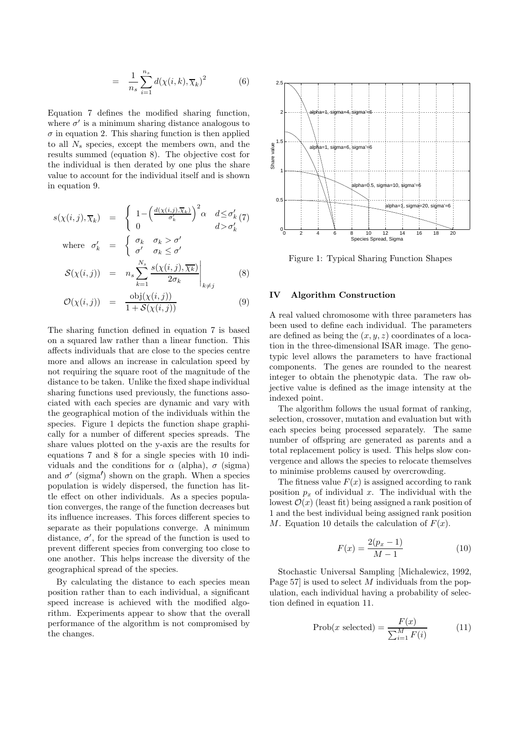$$
= \frac{1}{n_s} \sum_{i=1}^{n_s} d(\chi(i,k), \overline{\chi}_k)^2 \tag{6}
$$

Equation 7 defines the modified sharing function, where  $\sigma'$  is a minimum sharing distance analogous to  $\sigma$  in equation 2. This sharing function is then applied to all  $N_s$  species, except the members own, and the results summed (equation 8). The objective cost for the individual is then derated by one plus the share value to account for the individual itself and is shown in equation 9.

$$
s(\chi(i,j), \overline{\chi}_k) = \begin{cases} 1 - \left(\frac{d(\chi(i,j), \overline{\chi}_k)}{\sigma'_k}\right)^2 \alpha & d \leq \sigma'_k(7) \\ 0 & d > \sigma'_k \end{cases}
$$
  
where  $\sigma'_k = \begin{cases} \sigma_k & \sigma_k > \sigma' \\ \sigma'_k & \sigma_k < \sigma'_k \end{cases}$ 

where 
$$
\sigma_k = \begin{cases} \sigma' & \sigma_k \leq \sigma' \\ \mathcal{S}(\chi(i,j)) & = n_s \sum_{k=1}^{N_s} \frac{s(\chi(i,j), \overline{\chi_k})}{2\sigma_k} \Big|_{k \neq j} \end{cases}
$$
 (8)

$$
\mathcal{O}(\chi(i,j)) = \frac{\text{obj}(\chi(i,j))}{1 + \mathcal{S}(\chi(i,j))}
$$
\n(9)

The sharing function defined in equation 7 is based on a squared law rather than a linear function. This affects individuals that are close to the species centre more and allows an increase in calculation speed by not requiring the square root of the magnitude of the distance to be taken. Unlike the fixed shape individual sharing functions used previously, the functions associated with each species are dynamic and vary with the geographical motion of the individuals within the species. Figure 1 depicts the function shape graphically for a number of different species spreads. The share values plotted on the y-axis are the results for equations 7 and 8 for a single species with 10 individuals and the conditions for  $\alpha$  (alpha),  $\sigma$  (sigma) and  $\sigma'$  (sigma') shown on the graph. When a species population is widely dispersed, the function has little effect on other individuals. As a species population converges, the range of the function decreases but its influence increases. This forces different species to separate as their populations converge. A minimum distance,  $\sigma'$ , for the spread of the function is used to prevent different species from converging too close to one another. This helps increase the diversity of the geographical spread of the species.

By calculating the distance to each species mean position rather than to each individual, a significant speed increase is achieved with the modified algorithm. Experiments appear to show that the overall performance of the algorithm is not compromised by the changes.



Figure 1: Typical Sharing Function Shapes

## IV Algorithm Construction

A real valued chromosome with three parameters has been used to define each individual. The parameters are defined as being the  $(x, y, z)$  coordinates of a location in the three-dimensional ISAR image. The genotypic level allows the parameters to have fractional components. The genes are rounded to the nearest integer to obtain the phenotypic data. The raw objective value is defined as the image intensity at the indexed point.

The algorithm follows the usual format of ranking, selection, crossover, mutation and evaluation but with each species being processed separately. The same number of offspring are generated as parents and a total replacement policy is used. This helps slow convergence and allows the species to relocate themselves to minimise problems caused by overcrowding.

The fitness value  $F(x)$  is assigned according to rank position  $p_x$  of individual x. The individual with the lowest  $\mathcal{O}(x)$  (least fit) being assigned a rank position of 1 and the best individual being assigned rank position M. Equation 10 details the calculation of  $F(x)$ .

$$
F(x) = \frac{2(p_x - 1)}{M - 1} \tag{10}
$$

Stochastic Universal Sampling [Michalewicz, 1992, Page 57] is used to select M individuals from the population, each individual having a probability of selection defined in equation 11.

$$
\text{Prob}(x \text{ selected}) = \frac{F(x)}{\sum_{i=1}^{M} F(i)} \tag{11}
$$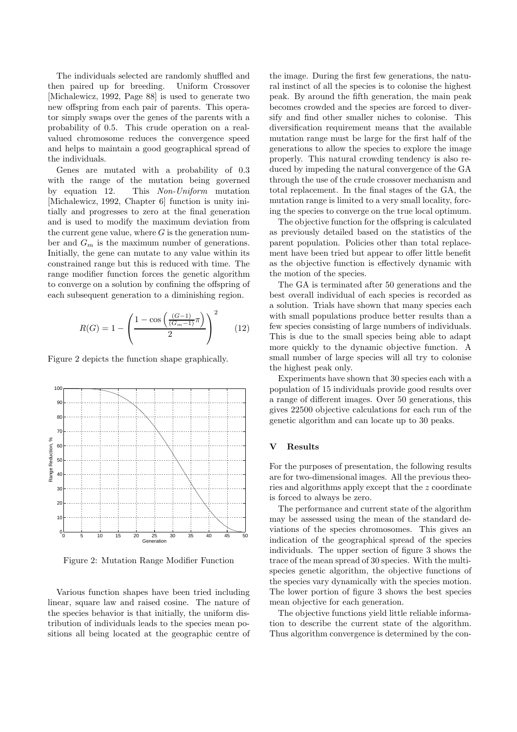The individuals selected are randomly shuffled and then paired up for breeding. Uniform Crossover [Michalewicz, 1992, Page 88] is used to generate two new offspring from each pair of parents. This operator simply swaps over the genes of the parents with a probability of 0.5. This crude operation on a realvalued chromosome reduces the convergence speed and helps to maintain a good geographical spread of the individuals.

Genes are mutated with a probability of 0.3 with the range of the mutation being governed by equation 12. This Non-Uniform mutation [Michalewicz, 1992, Chapter 6] function is unity initially and progresses to zero at the final generation and is used to modify the maximum deviation from the current gene value, where  $G$  is the generation number and  $G_m$  is the maximum number of generations. Initially, the gene can mutate to any value within its constrained range but this is reduced with time. The range modifier function forces the genetic algorithm to converge on a solution by confining the offspring of each subsequent generation to a diminishing region.

$$
R(G) = 1 - \left(\frac{1 - \cos\left(\frac{(G-1)}{(G_m - 1)}\pi\right)}{2}\right)^2 \tag{12}
$$

Figure 2 depicts the function shape graphically.



Figure 2: Mutation Range Modifier Function

Various function shapes have been tried including linear, square law and raised cosine. The nature of the species behavior is that initially, the uniform distribution of individuals leads to the species mean positions all being located at the geographic centre of the image. During the first few generations, the natural instinct of all the species is to colonise the highest peak. By around the fifth generation, the main peak becomes crowded and the species are forced to diversify and find other smaller niches to colonise. This diversification requirement means that the available mutation range must be large for the first half of the generations to allow the species to explore the image properly. This natural crowding tendency is also reduced by impeding the natural convergence of the GA through the use of the crude crossover mechanism and total replacement. In the final stages of the GA, the mutation range is limited to a very small locality, forcing the species to converge on the true local optimum.

The objective function for the offspring is calculated as previously detailed based on the statistics of the parent population. Policies other than total replacement have been tried but appear to offer little benefit as the objective function is effectively dynamic with the motion of the species.

The GA is terminated after 50 generations and the best overall individual of each species is recorded as a solution. Trials have shown that many species each with small populations produce better results than a few species consisting of large numbers of individuals. This is due to the small species being able to adapt more quickly to the dynamic objective function. A small number of large species will all try to colonise the highest peak only.

Experiments have shown that 30 species each with a population of 15 individuals provide good results over a range of different images. Over 50 generations, this gives 22500 objective calculations for each run of the genetic algorithm and can locate up to 30 peaks.

### V Results

For the purposes of presentation, the following results are for two-dimensional images. All the previous theories and algorithms apply except that the z coordinate is forced to always be zero.

The performance and current state of the algorithm may be assessed using the mean of the standard deviations of the species chromosomes. This gives an indication of the geographical spread of the species individuals. The upper section of figure 3 shows the trace of the mean spread of 30 species. With the multispecies genetic algorithm, the objective functions of the species vary dynamically with the species motion. The lower portion of figure 3 shows the best species mean objective for each generation.

The objective functions yield little reliable information to describe the current state of the algorithm. Thus algorithm convergence is determined by the con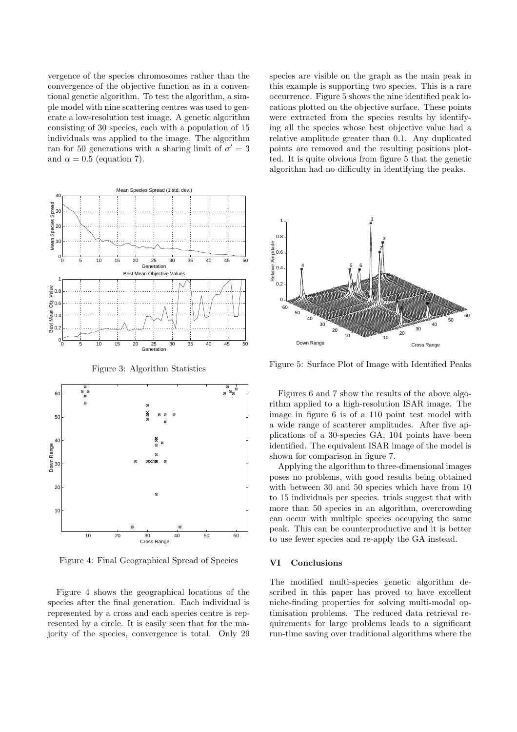vergence of the species chromosomes rather than the convergence of the objective function as in a conventional genetic algorithm. To test the algorithm, a simple model with nine scattering centres was used to generate a low-resolution test image. A genetic algorithm consisting of 30 species, each with a population of 15 individuals was applied to the image. The algorithm ran for 50 generations with a sharing limit of  $\sigma' = 3$ and  $\alpha = 0.5$  (equation 7).



Figure 4: Final Geographical Spread of Species

Figure 4 shows the geographical locations of the species after the final generation. Each individual is represented by a cross and each species centre is represented by a circle. It is easily seen that for the majority of the species, convergence is total. Only 29 species are visible on the graph as the main peak in this example is supporting two species. This is a rare occurrence. Figure 5 shows the nine identified peak locations plotted on the objective surface. These points were extracted from the species results by identifying all the species whose best objective value had a relative amplitude greater than 0.1. Any duplicated points are removed and the resulting positions plotted. It is quite obvious from figure 5 that the genetic algorithm had no difficulty in identifying the peaks.



Figure 5: Surface Plot of Image with Identified Peaks

Figures 6 and 7 show the results of the above algorithm applied to a high-resolution ISAR image. The image in figure 6 is of a 110 point test model with a wide range of scatterer amplitudes. After five applications of a 30-species GA, 104 points have been identified. The equivalent ISAR image of the model is shown for comparison in figure 7.

Applying the algorithm to three-dimensional images poses no problems, with good results being obtained with between 30 and 50 species which have from 10 to 15 individuals per species. trials suggest that with more than 50 species in an algorithm, overcrowding can occur with multiple species occupying the same peak. This can be counterproductive and it is better to use fewer species and re-apply the GA instead.

#### VI Conclusions

The modified multi-species genetic algorithm described in this paper has proved to have excellent niche-finding properties for solving multi-modal optimisation problems. The reduced data retrieval requirements for large problems leads to a significant run-time saving over traditional algorithms where the